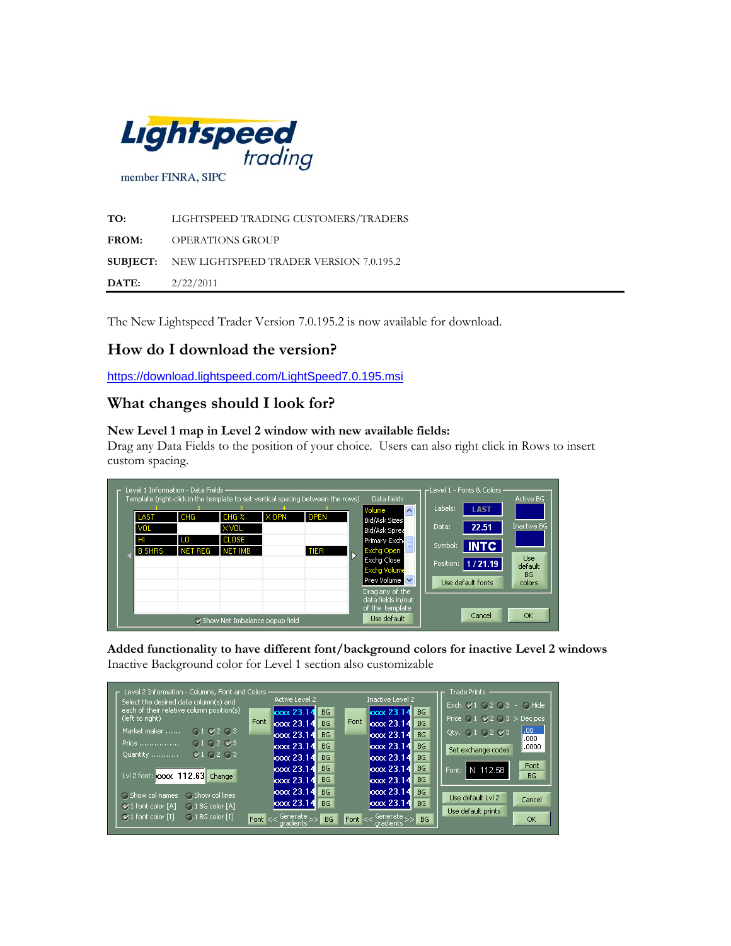

**TO:** LIGHTSPEED TRADING CUSTOMERS/TRADERS **FROM:** OPERATIONS GROUP **SUBJECT:** NEW LIGHTSPEED TRADER VERSION 7.0.195.2 **DATE:** 2/22/2011

The New Lightspeed Trader Version 7.0.195.2 is now available for download.

## **How do I download the version?**

<https://download.lightspeed.com/LightSpeed7.0.195.msi>

### **What changes should I look for?**

#### **New Level 1 map in Level 2 window with new available fields:**

Drag any Data Fields to the position of your choice. Users can also right click in Rows to insert custom spacing.

|                                    | Level 1 Information - Data Fields -<br>Template (right-click in the template to set vertical spacing between the rows) |                                                            |              |                     |   | Data fields                                                                                                                                                                                                            | -Level 1 - Fonts & Colors ·<br>Active BG                                                                                                                                         |
|------------------------------------|------------------------------------------------------------------------------------------------------------------------|------------------------------------------------------------|--------------|---------------------|---|------------------------------------------------------------------------------------------------------------------------------------------------------------------------------------------------------------------------|----------------------------------------------------------------------------------------------------------------------------------------------------------------------------------|
| LAST<br>VOL<br>HI<br><b>B SHRS</b> | CHG<br>LO.<br><b>NET REG</b>                                                                                           | CHG <sub>2</sub><br>XVOL<br><b>CLOSE</b><br><b>NET IMB</b> | $\times$ OPN | <b>OPEN</b><br>TIER | Ь | Volume<br>$\overline{\phantom{a}}$<br>Bid/Ask Sizes<br>Bid/Ask Sprea<br>Primary Exch.<br>Exchg Open<br>Excha Close<br><b>Excha Volume</b><br>Prev Volume V<br>Drag any of the<br>data fields in/out<br>of the template | Labels:<br><b>LAST</b><br><b>Inactive BG</b><br>Data:<br>22.51<br><b>INTC</b><br>Symbol:<br><b>Use</b><br>1/21.19<br>Position:<br>default<br>BG.<br>Use default fonts<br>colors. |
|                                    |                                                                                                                        | Show Net Imbalance popup field                             |              |                     |   | Use default                                                                                                                                                                                                            | OK<br>Cancel                                                                                                                                                                     |

**Added functionality to have different font/background colors for inactive Level 2 windows**  Inactive Background color for Level 1 section also customizable

| Level 2 Information - Columns, Font and Colors -<br>Select the desired data column(s) and |           | Active Level 2             |                  |      | Inactive Level 2              |                        | Trade Prints<br>Exch. 21 02 03 - 0 Hide              |
|-------------------------------------------------------------------------------------------|-----------|----------------------------|------------------|------|-------------------------------|------------------------|------------------------------------------------------|
| each of their relative column position(s)<br>(left to right)                              | Font      | $\cos 23.14$<br>loox 23.14 | <b>BG</b><br>BG. | Font | $\cos 23.14$<br>loox 23.14    | <b>BG</b><br><b>BG</b> | Price $\bigcirc$ 1 $\vee$ 2 $\bigcirc$ 3 $>$ Dec pos |
| Market maker<br>$0.1$ $0.2$ $0.3$                                                         |           | loox 23.14                 | <b>BG</b>        |      | loox 23.14                    | BG                     | .00.<br>Qty. $0.10263$<br>.000                       |
| 010203<br>Price                                                                           |           | $\sqrt{23.14}$             | <b>BG</b>        |      | loox 23.14                    | BG                     | .0000<br>Set exchange codes                          |
| Q10203<br>Quantity                                                                        |           | loox 23.14                 | <b>BG</b>        |      | $\sqrt{23.14}$                | <b>BG</b>              | Font.                                                |
| Lvl 2 font: 000x 112.63 Change                                                            |           | loox 23.14                 | <b>BG</b>        |      | $\sim 23.14$                  | <b>BG</b>              | N 112.58<br>Font:<br><b>BG</b>                       |
|                                                                                           |           | loox 23.14                 | <b>BG</b>        |      | $\sqrt{23.14}$                | <b>BG</b>              |                                                      |
| C Show col names<br>C. Show collines                                                      |           | loox 23.14                 | <b>BG</b>        |      | loox 23.14                    | <b>BG</b>              | Use default Lvl 2<br>Cancel                          |
| $\vee$ 1 font color [A]<br>C. 1 BG color [A]                                              |           | looot 23.14                | <b>BG</b>        |      | looox 23.14                   | <b>BG</b>              | Use default prints                                   |
| $\vee$ 1 font color [I]<br>$\bigcap$ 1 BG color [I]                                       | Font $<<$ | Generate<br>aradients      | <b>BG</b>        |      | Font << Generate<br>aradients | BG.                    | OK                                                   |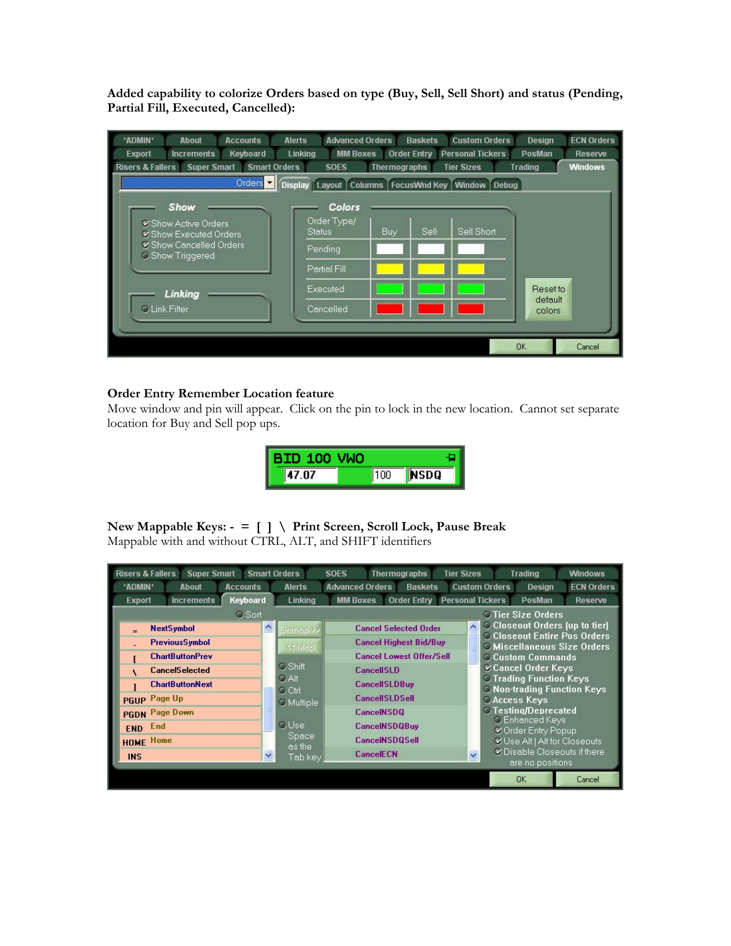**Added capability to colorize Orders based on type (Buy, Sell, Sell Short) and status (Pending, Partial Fill, Executed, Cancelled):** 

| *ADMIN*<br><b>Accounts</b><br><b>About</b>                               | <b>Advanced Orders</b><br><b>Alerts</b>              |                     | <b>Baskets</b>               | <b>Custom Orders</b>             | Design            | <b>ECN Orders</b> |  |  |  |  |  |  |
|--------------------------------------------------------------------------|------------------------------------------------------|---------------------|------------------------------|----------------------------------|-------------------|-------------------|--|--|--|--|--|--|
| Keyboard<br><b>Export</b><br><b>Increments</b>                           | <b>Linking</b><br><b>MM Boxes</b>                    |                     | Order Entry Personal Tickers | <b>PosMan</b><br>Reserve         |                   |                   |  |  |  |  |  |  |
| <b>Risers &amp; Fallers</b><br><b>Smart Orders</b><br><b>Super Smart</b> | <b>SOES</b>                                          | <b>Thermographs</b> | <b>Tier Sizes</b>            | <b>Windows</b><br><b>Trading</b> |                   |                   |  |  |  |  |  |  |
| Orders <sup>y</sup>                                                      | Display Layout Columns FocusWnd Key   Window   Debug |                     |                              |                                  |                   |                   |  |  |  |  |  |  |
| <b>Show</b>                                                              | <b>Colors</b>                                        |                     |                              |                                  |                   |                   |  |  |  |  |  |  |
| Show Active Orders<br>Show Executed Orders<br>Show Cancelled Orders      | Order Type/<br><b>Status</b>                         | Buy                 | Sell                         | Sell Short                       |                   |                   |  |  |  |  |  |  |
| <b>C</b> Show Triggered                                                  | Pending<br>Partial Fill                              |                     |                              |                                  |                   |                   |  |  |  |  |  |  |
| Linking                                                                  | Executed                                             |                     |                              |                                  | <b>Resetto</b>    |                   |  |  |  |  |  |  |
| <b>C Link Filter</b>                                                     | Cancelled                                            |                     |                              |                                  | default<br>colors |                   |  |  |  |  |  |  |
|                                                                          |                                                      |                     |                              |                                  |                   |                   |  |  |  |  |  |  |
|                                                                          |                                                      |                     |                              |                                  | <b>OK</b>         | Cancel            |  |  |  |  |  |  |

#### **Order Entry Remember Location feature**

Move window and pin will appear. Click on the pin to lock in the new location. Cannot set separate location for Buy and Sell pop ups.

| <b>BID 100 VWO</b> |     |              |
|--------------------|-----|--------------|
| 47 NZ              | 100 | <b>INSDO</b> |

# **New Mappable Keys: - = [ ] \ Print Screen, Scroll Lock, Pause Break**

Mappable with and without CTRL, ALT, and SHIFT identifiers

| <b>Risers &amp; Fallers</b><br><b>Super Smart</b> |                           | <b>Smart Orders</b>           | <b>SOES</b><br><b>Thermographs</b>                     | <b>Tier Sizes</b>                     | <b>Trading</b>                                                            | <b>Windows</b>               |  |
|---------------------------------------------------|---------------------------|-------------------------------|--------------------------------------------------------|---------------------------------------|---------------------------------------------------------------------------|------------------------------|--|
| *ADMIN*<br>About                                  | <b>Accounts</b>           | Alerts                        | <b>Advanced Orders</b><br><b>Baskets</b>               | <b>Custom Orders</b><br><b>Design</b> | <b>ECN Orders</b>                                                         |                              |  |
| <b>Increments</b><br><b>Export</b>                | Keyboard                  | Linking                       | <b>Order Entry Personal Tickers</b><br><b>MM Boxes</b> |                                       | PosMan                                                                    | <b>Reserve</b>               |  |
|                                                   | <b>O</b> Tier Size Orders |                               |                                                        |                                       |                                                                           |                              |  |
| <b>NextSymbol</b><br>$=$                          | $\hat{\phantom{a}}$       | Jrimap >>                     | <b>Cancel Selected Order</b>                           | $\hat{\phantom{a}}$                   | <b>C</b> Closeout Orders (up to tier)                                     |                              |  |
| <b>PreviousSymbol</b>                             |                           | << Map                        | <b>Cancel Highest Bid/Buy</b>                          |                                       | <b>C Closeout Entire Pos Orders</b><br><b>O Miscellaneous Size Orders</b> |                              |  |
| <b>ChartButtonPrev</b>                            |                           |                               | <b>Cancel Lowest Offer/Sell</b>                        |                                       | <b>Custom Commands</b>                                                    |                              |  |
| <b>CancelSelected</b>                             |                           | $\circ$ Shift                 | <b>CancellSLD</b>                                      |                                       | Cancel Order Keys                                                         |                              |  |
| <b>ChartButtonNext</b>                            |                           | $\circ$ Alt                   | <b>CancellSLDBuy</b>                                   |                                       | <b>C Trading Function Keys</b><br><b>C Non-trading Function Keys</b>      |                              |  |
| PGUP Page Up                                      |                           | $C$ Ctrl<br><b>O</b> Multiple | <b>CancellSLDSell</b>                                  |                                       | <b>CACCESS Keys</b>                                                       |                              |  |
| <b>PGDN</b> Page Down                             |                           |                               | <b>CancelNSDQ</b>                                      |                                       | ○ Testing/Deprecated                                                      |                              |  |
| End<br><b>END</b>                                 |                           | <b>O</b> Use                  | <b>CancelNSDQBuy</b>                                   |                                       | <b>C</b> Enhanced Keys                                                    |                              |  |
| <b>HOME Home</b>                                  |                           | <b>Space</b>                  | <b>CancelNSDOSell</b>                                  |                                       | Corder Entry Popup<br>Use Alt   Alt for Closeouts                         |                              |  |
| <b>INS</b>                                        | ×                         | as the<br>Tab key             | <b>CancelECN</b>                                       | $\ddot{\mathbf{v}}$                   |                                                                           | V Disable Closeouts if there |  |
|                                                   |                           |                               |                                                        |                                       | are no positions                                                          |                              |  |
|                                                   |                           |                               |                                                        |                                       | <b>OK</b>                                                                 | Cancel                       |  |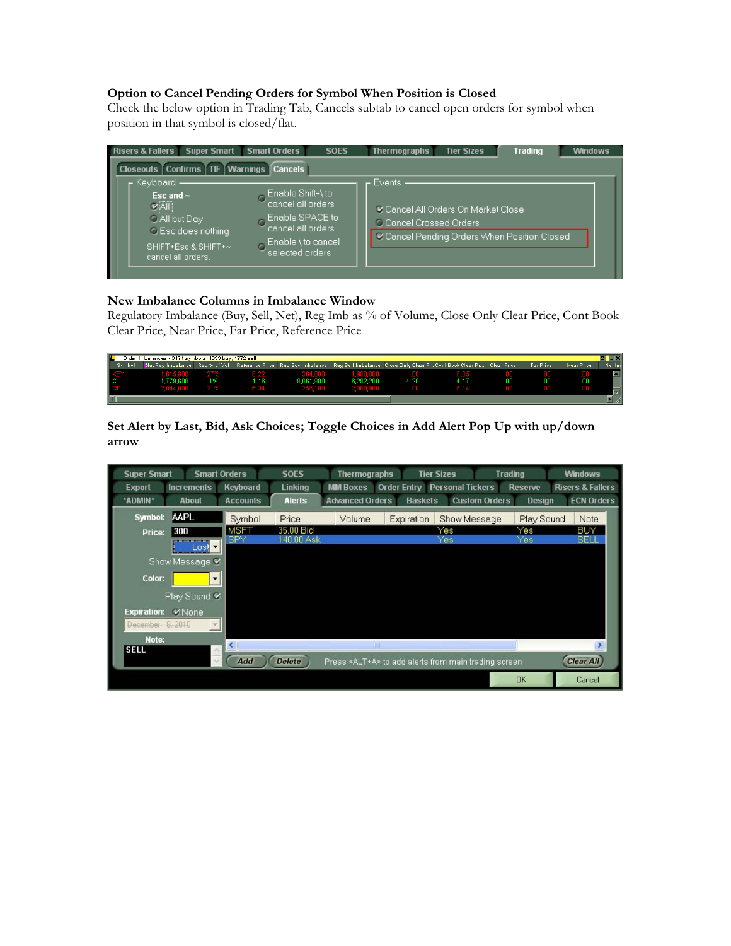#### **Option to Cancel Pending Orders for Symbol When Position is Closed**

Check the below option in Trading Tab, Cancels subtab to cancel open orders for symbol when position in that symbol is closed/flat.



#### **New Imbalance Columns in Imbalance Window**

Regulatory Imbalance (Buy, Sell, Net), Reg Imb as % of Volume, Close Only Clear Price, Cont Book Clear Price, Near Price, Far Price, Reference Price



**Set Alert by Last, Bid, Ask Choices; Toggle Choices in Add Alert Pop Up with up/down arrow** 

| <b>Super Smart</b>                  | <b>Smart Orders</b>      | <b>SOES</b>   | <b>Thermographs</b>    |                | <b>Tier Sizes</b>                                            | <b>Trading</b> | <b>Windows</b>              |
|-------------------------------------|--------------------------|---------------|------------------------|----------------|--------------------------------------------------------------|----------------|-----------------------------|
| <b>Increments</b><br><b>Export</b>  | Keyboard                 | Linking       | <b>MM Boxes</b>        |                | <b>Order Entry Personal Tickers</b>                          | Reserve        | <b>Risers &amp; Fallers</b> |
| *ADMIN*<br><b>About</b>             | <b>Accounts</b>          | <b>Alerts</b> | <b>Advanced Orders</b> | <b>Baskets</b> | <b>Custom Orders</b>                                         | <b>Design</b>  | <b>ECN Orders</b>           |
| <b>AAPL</b><br>Symbol:              | Symbol                   | Price         | Volume                 | Expiration     | Show Message                                                 | Play Sound     | Note                        |
| 300<br>Price:                       | <b>MSFT</b>              | 35.00 Bid     |                        |                | Yes                                                          | Yes            | BUY                         |
| Last $\blacktriangledown$           | SPY                      | 140.00 Ask    |                        |                | Yes                                                          | Yes            | <b>SELI</b>                 |
| Show Message V                      |                          |               |                        |                |                                                              |                |                             |
| Color:                              | $\overline{\phantom{a}}$ |               |                        |                |                                                              |                |                             |
|                                     |                          |               |                        |                |                                                              |                |                             |
| Play Sound V                        |                          |               |                        |                |                                                              |                |                             |
| <b>Expiration:</b><br><b>V</b> None |                          |               |                        |                |                                                              |                |                             |
| December- 8, 2010                   |                          |               |                        |                |                                                              |                |                             |
| Note:                               |                          |               |                        |                |                                                              |                |                             |
| <b>SELL</b>                         |                          |               |                        | Ш              |                                                              |                |                             |
|                                     | Add                      | <b>Delete</b> |                        |                | Press <alt+a> to add alerts from main trading screen</alt+a> |                | <b>Clear All</b>            |
|                                     |                          |               |                        |                |                                                              | <b>OK</b>      | Cancel                      |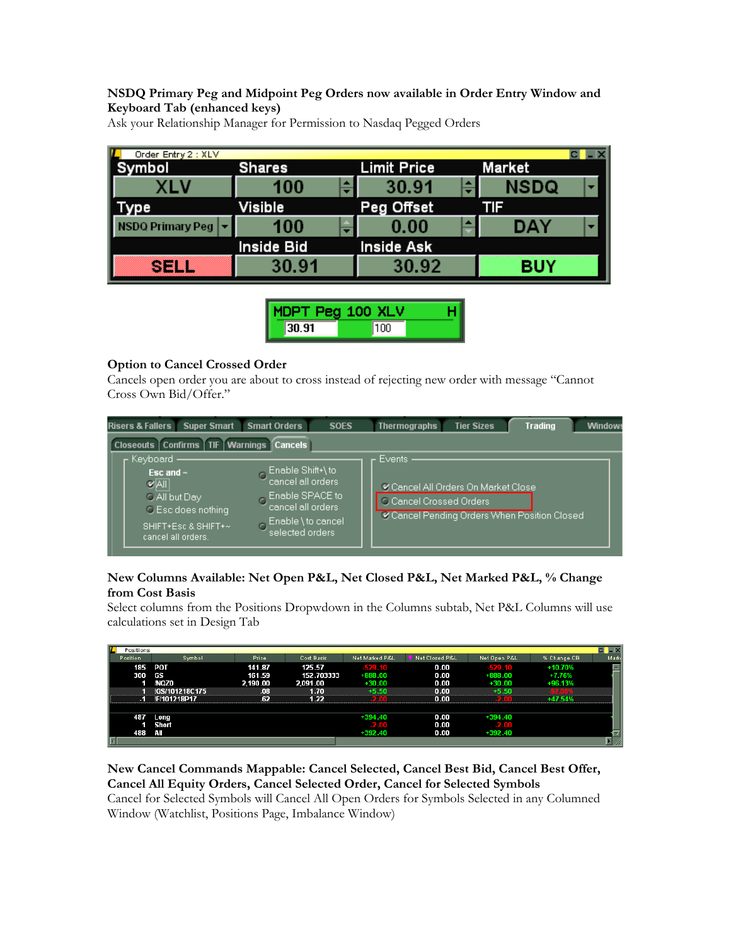#### **NSDQ Primary Peg and Midpoint Peg Orders now available in Order Entry Window and Keyboard Tab (enhanced keys)**

| Order Entry 2 : XLV   |               |             |            |
|-----------------------|---------------|-------------|------------|
| ymbol                 | <b>Shares</b> | Limit Price | Market     |
|                       | 100           | 30.91       | NSDQ<br>▼  |
| ype                   | Visible       | Peg Offset  |            |
| <b>DQ Primary Peg</b> | 100           | 0.00        | DAY        |
|                       | Inside Bid    | Inside Ask  |            |
| sem                   | 30.91         | 30.92       | <b>BUY</b> |

Ask your Relationship Manager for Permission to Nasdaq Pegged Orders

| MDPT Peg 100 XLV |      |  |
|------------------|------|--|
| 30.91            | linn |  |

#### **Option to Cancel Crossed Order**

Cancels open order you are about to cross instead of rejecting new order with message "Cannot Cross Own Bid/Offer."

| <b>Super Smart</b><br><b>Risers &amp; Fallers</b>                                                                              | <b>Smart Orders</b>                                                                                                      | <b>SOES</b> | <b>Thermographs</b>                                                                                                         | <b>Tier Sizes</b> | <b>Trading</b> | <b>Window:</b> |  |  |  |  |  |  |
|--------------------------------------------------------------------------------------------------------------------------------|--------------------------------------------------------------------------------------------------------------------------|-------------|-----------------------------------------------------------------------------------------------------------------------------|-------------------|----------------|----------------|--|--|--|--|--|--|
| Closeouts Confirms TIF Warnings Cancels                                                                                        |                                                                                                                          |             |                                                                                                                             |                   |                |                |  |  |  |  |  |  |
| Keyboard<br>Esc and $\sim$<br>$V =$<br>O All but Day<br><b>C</b> Esc does nothing<br>SHIFT+Esc & SHIFT+~<br>cancel all orders. | Enable Shift+\to,<br>cancel all orders<br>Enable SPACE to:<br>cancel all orders<br>Enable \ to cancel<br>selected orders |             | Events<br>Cancel All Orders On Market Close<br><b>C</b> Cancel Crossed Orders<br>Cancel Pending Orders When Position Closed |                   |                |                |  |  |  |  |  |  |

#### **New Columns Available: Net Open P&L, Net Closed P&L, Net Marked P&L, % Change from Cost Basis**

Select columns from the Positions Dropwdown in the Columns subtab, Net P&L Columns will use calculations set in Design Tab

| L<br>Positions |                     |          |            |                |                |              |             | $-x$ |
|----------------|---------------------|----------|------------|----------------|----------------|--------------|-------------|------|
| Position       | Symbol              | Price    | Cost Basis | Net Marked P&L | Net Closed P&L | Net Open P&L | % Change CB | Mark |
| 185            | POT                 | 141.87   | 125.57     | $-529.10$      | 0.00           | $-529.10$    | $+10.70%$   |      |
| 300            | GS <sub></sub>      | 161.59   | 152.703333 | $+888.00$      | 0.00           | $+888.00$    | $+7.76%$    |      |
|                | <b>NQZ0</b>         | 2,190.00 | 2,091.00   | $+30.00$       | 0.00           | $+30.00$     | +96.13%     |      |
|                | !GS/101218C175      | .08      | 1 7N       |                | 0.00           |              |             |      |
|                | <b>IF/101218P17</b> | .62      | 1 22       |                | n nn           |              |             |      |
|                |                     |          |            |                |                |              |             |      |
| 487            | Long                |          |            | $+394.40$      | 0.00           | $+394.40$    |             |      |
|                | Short               |          |            | <b>22.00</b>   | 0.00           | 2.NO         |             |      |
| 488            | ÆШ                  |          |            | $+392.40$      | 0.00           | $+392.40$    |             |      |
| lki            |                     |          |            |                |                |              |             |      |

**New Cancel Commands Mappable: Cancel Selected, Cancel Best Bid, Cancel Best Offer, Cancel All Equity Orders, Cancel Selected Order, Cancel for Selected Symbols**  Cancel for Selected Symbols will Cancel All Open Orders for Symbols Selected in any Columned Window (Watchlist, Positions Page, Imbalance Window)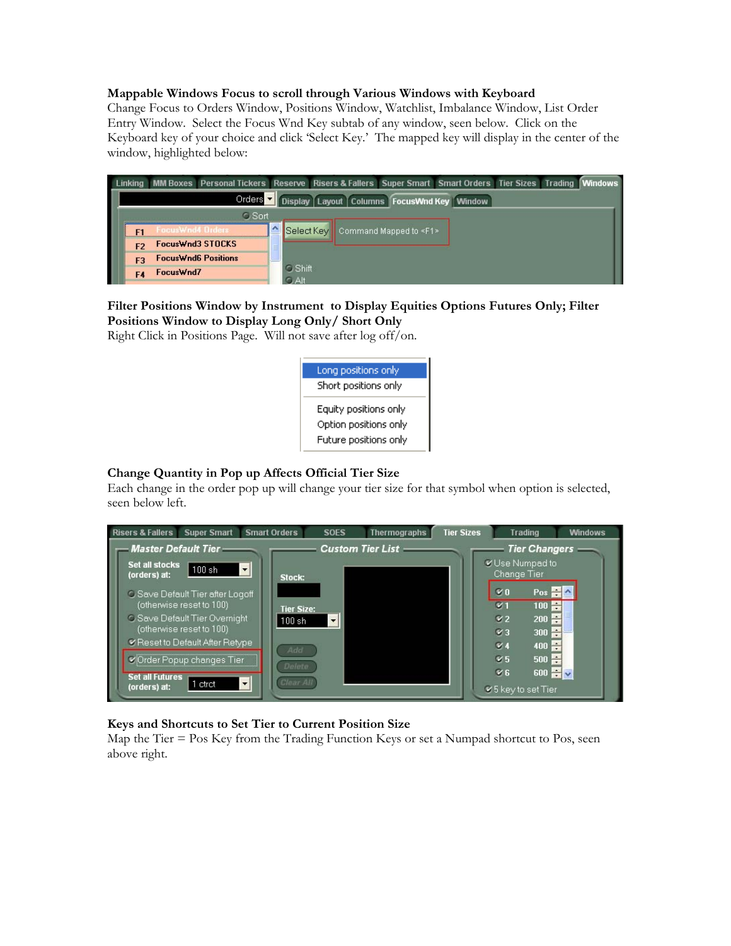#### **Mappable Windows Focus to scroll through Various Windows with Keyboard**

Change Focus to Orders Window, Positions Window, Watchlist, Imbalance Window, List Order Entry Window. Select the Focus Wnd Key subtab of any window, seen below. Click on the Keyboard key of your choice and click 'Select Key.' The mapped key will display in the center of the window, highlighted below:

|                                                                                 |                  | Linking MM Boxes Personal Tickers Reserve Risers & Fallers Super Smart Smart Orders Tier Sizes Trading Windows |            |               |  |                                        |  |  |  |  |  |  |  |
|---------------------------------------------------------------------------------|------------------|----------------------------------------------------------------------------------------------------------------|------------|---------------|--|----------------------------------------|--|--|--|--|--|--|--|
| Orders $\overline{\phantom{a}}$<br>Display Layout Columns FocusWnd Key   Window |                  |                                                                                                                |            |               |  |                                        |  |  |  |  |  |  |  |
|                                                                                 |                  | <b>C</b> Sort                                                                                                  |            |               |  |                                        |  |  |  |  |  |  |  |
|                                                                                 | FocusWnd4 Orders |                                                                                                                |            |               |  | Select Key Command Mapped to <f1></f1> |  |  |  |  |  |  |  |
| F <sub>2</sub>                                                                  | FocusWnd3 STOCKS |                                                                                                                | $=$<br>-   |               |  |                                        |  |  |  |  |  |  |  |
| F3                                                                              |                  | <b>FocusWnd6 Positions</b>                                                                                     | _          |               |  |                                        |  |  |  |  |  |  |  |
| F4                                                                              | FocusWnd7        |                                                                                                                | $\cap$ Alt | $\circ$ Shift |  |                                        |  |  |  |  |  |  |  |

### **Filter Positions Window by Instrument to Display Equities Options Futures Only; Filter Positions Window to Display Long Only/ Short Only**

Right Click in Positions Page. Will not save after log off/on.



#### **Change Quantity in Pop up Affects Official Tier Size**

Each change in the order pop up will change your tier size for that symbol when option is selected, seen below left.



#### **Keys and Shortcuts to Set Tier to Current Position Size**

Map the Tier = Pos Key from the Trading Function Keys or set a Numpad shortcut to Pos, seen above right.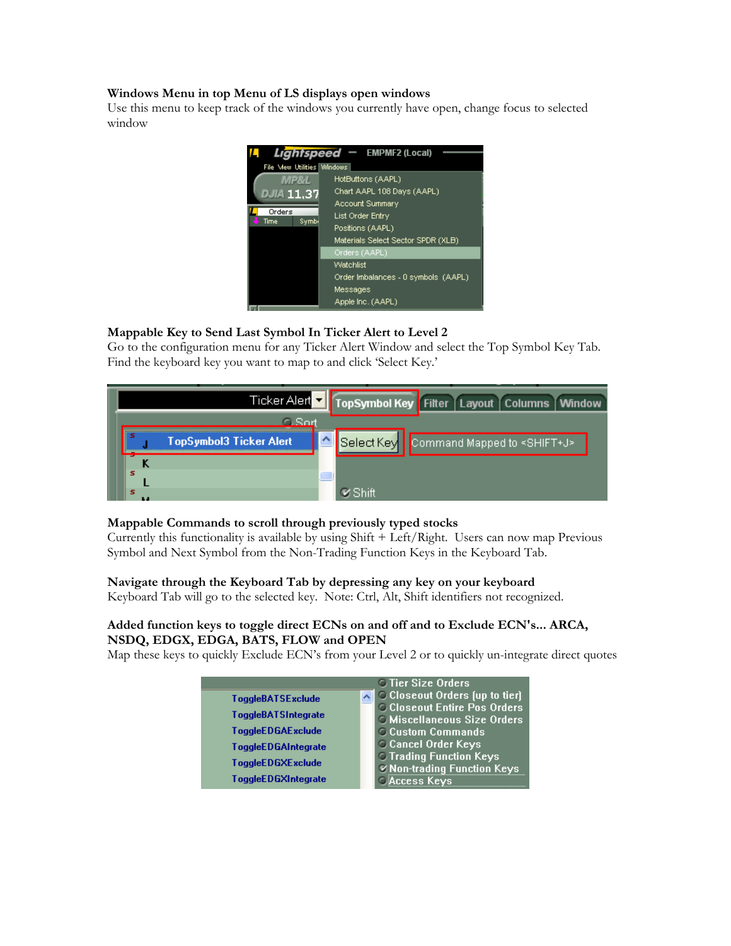#### **Windows Menu in top Menu of LS displays open windows**

Use this menu to keep track of the windows you currently have open, change focus to selected window



#### **Mappable Key to Send Last Symbol In Ticker Alert to Level 2**

Go to the configuration menu for any Ticker Alert Window and select the Top Symbol Key Tab. Find the keyboard key you want to map to and click 'Select Key.'



#### **Mappable Commands to scroll through previously typed stocks**

Currently this functionality is available by using Shift + Left/Right. Users can now map Previous Symbol and Next Symbol from the Non-Trading Function Keys in the Keyboard Tab.

#### **Navigate through the Keyboard Tab by depressing any key on your keyboard**

Keyboard Tab will go to the selected key. Note: Ctrl, Alt, Shift identifiers not recognized.

#### **Added function keys to toggle direct ECNs on and off and to Exclude ECN's... ARCA, NSDQ, EDGX, EDGA, BATS, FLOW and OPEN**

Map these keys to quickly Exclude ECN's from your Level 2 or to quickly un-integrate direct quotes

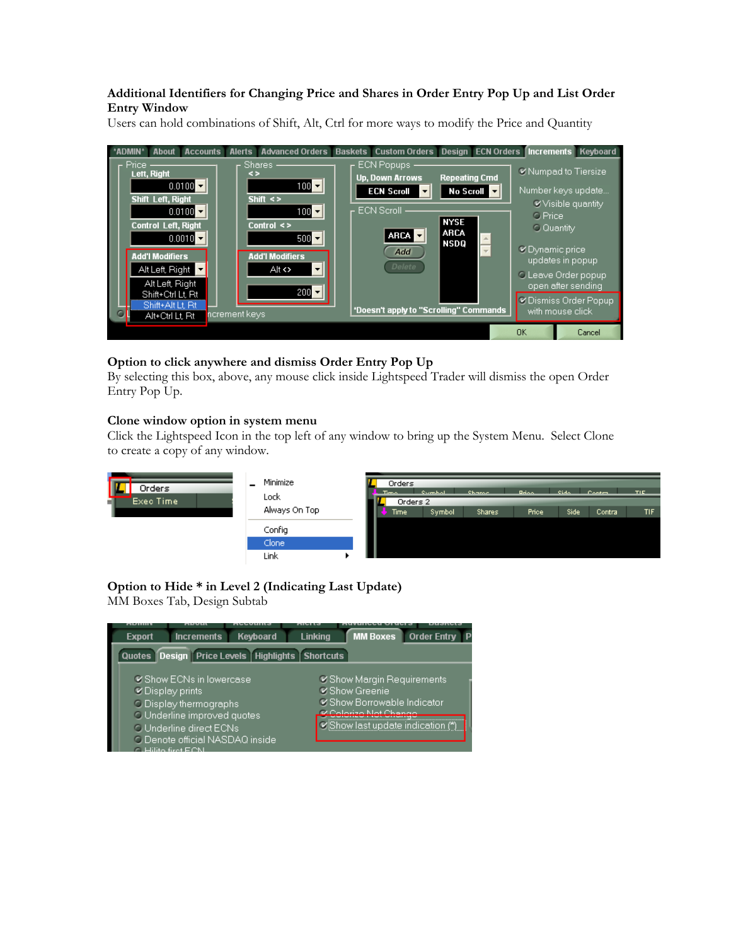#### **Additional Identifiers for Changing Price and Shares in Order Entry Pop Up and List Order Entry Window**

Users can hold combinations of Shift, Alt, Ctrl for more ways to modify the Price and Quantity



### **Option to click anywhere and dismiss Order Entry Pop Up**

By selecting this box, above, any mouse click inside Lightspeed Trader will dismiss the open Order Entry Pop Up.

#### **Clone window option in system menu**

Click the Lightspeed Icon in the top left of any window to bring up the System Menu. Select Clone to create a copy of any window.

| Orders         | Minimize<br>-<br>Lock | Orders<br>$\overline{\phantom{a}}$ Times | <b>Symbol</b> | <b>Shame</b>  | <b>Room</b>  | <b>Side</b> | $C$ ontra i | TIE. |
|----------------|-----------------------|------------------------------------------|---------------|---------------|--------------|-------------|-------------|------|
| Exec Time<br>m |                       |                                          | Orders 2      |               |              |             |             |      |
|                | Always On Top         | Time                                     | Symbol        | <b>Shares</b> | <b>Price</b> | Side        | Contra      | TIF. |
|                | Config                |                                          |               |               |              |             |             |      |
|                | Clone                 |                                          |               |               |              |             |             |      |
|                | Link                  |                                          |               |               |              |             |             |      |

# **Option to Hide \* in Level 2 (Indicating Last Update)**

MM Boxes Tab, Design Subtab

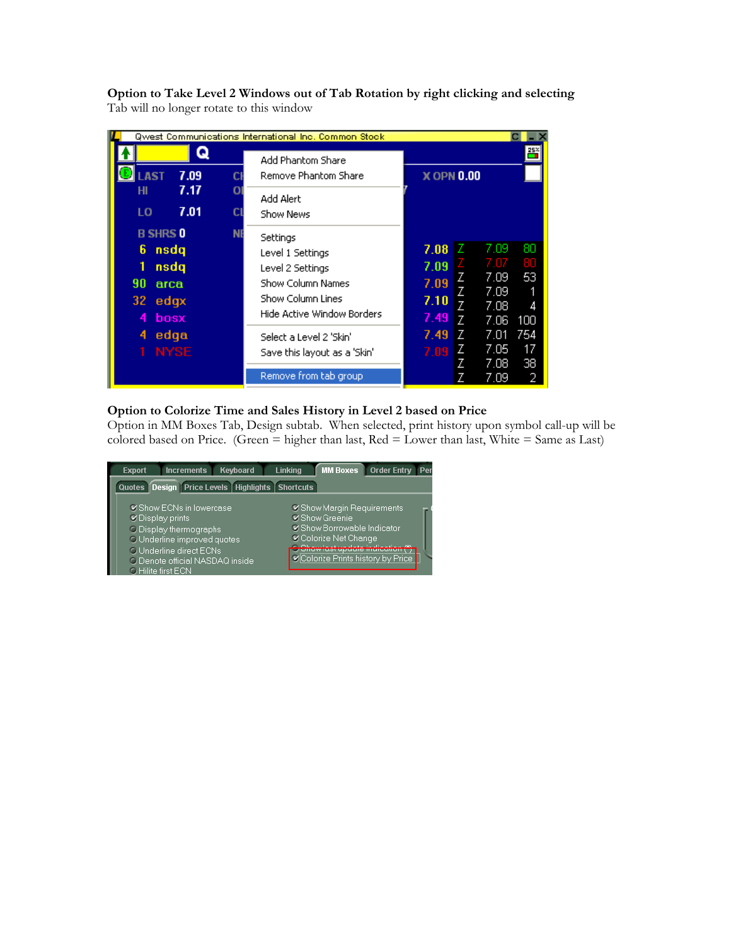| Qwest Communications International Inc. Common Stock                                       |                                                                                                                                                            |                                                                                                                                                |
|--------------------------------------------------------------------------------------------|------------------------------------------------------------------------------------------------------------------------------------------------------------|------------------------------------------------------------------------------------------------------------------------------------------------|
| 7.09<br><b>AST</b>                                                                         | <b>Add Phantom Share</b><br>Remove Phantom Share<br>CI                                                                                                     | <b>X OPN 0.00</b>                                                                                                                              |
| 7.17<br>нı<br>7.01<br>LO                                                                   | O<br>Add Alert<br><b>CL</b><br>Show News                                                                                                                   |                                                                                                                                                |
| <b>B SHRS 0</b><br>6<br><b>nsdq</b><br>1<br>nsdq<br>90<br>arca<br>32.<br>edgx<br>bosx<br>4 | <b>NI</b><br>Settings<br>Level 1 Settings<br>Level 2 Settings<br><b>Show Column Names</b><br><b>Show Column Lines</b><br><b>Hide Active Window Borders</b> | 80<br>7.09<br>7.08<br>80<br>7.07<br>7.09<br>53<br>7.09<br>7.09<br>Z<br>7.09<br>7.10<br>$\overline{7}$<br>7.08<br>4<br>7.49<br>7<br>7.06<br>100 |
| edga<br>4<br><b>NYSE</b>                                                                   | Select a Level 2 'Skin'<br>Save this layout as a 'Skin'<br>Remove from tab group                                                                           | 7.01<br>754<br>7.49<br>Z<br>7.05<br>17<br>Z<br>7.09<br>7.08<br>38<br>Z<br>7.09                                                                 |

**Option to Take Level 2 Windows out of Tab Rotation by right clicking and selecting**  Tab will no longer rotate to this window

#### **Option to Colorize Time and Sales History in Level 2 based on Price**

Option in MM Boxes Tab, Design subtab. When selected, print history upon symbol call-up will be colored based on Price. (Green  $=$  higher than last, Red  $=$  Lower than last, White  $=$  Same as Last)